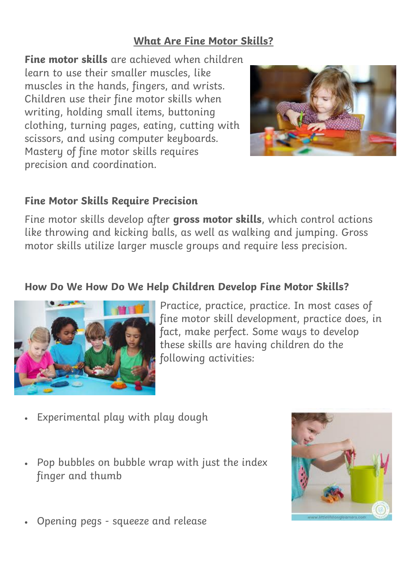## **What Are Fine Motor Skills?**

**Fine motor skills** are achieved when children learn to use their smaller muscles, like muscles in the hands, fingers, and wrists. Children use their fine motor skills when writing, holding small items, buttoning clothing, turning pages, eating, cutting with scissors, and using computer keyboards. Mastery of fine motor skills requires precision and coordination.



## **Fine Motor Skills Require Precision**

Fine motor skills develop after **gross motor skills**, which control actions like throwing and kicking balls, as well as walking and jumping. Gross motor skills utilize larger muscle groups and require less precision.

## **How Do We How Do We Help Children Develop Fine Motor Skills?**



Practice, practice, practice. In most cases of fine motor skill development, practice does, in fact, make perfect. Some ways to develop these skills are having children do the following activities:

- Experimental play with play dough
- Pop bubbles on bubble wrap with just the index finger and thumb



Opening pegs - squeeze and release